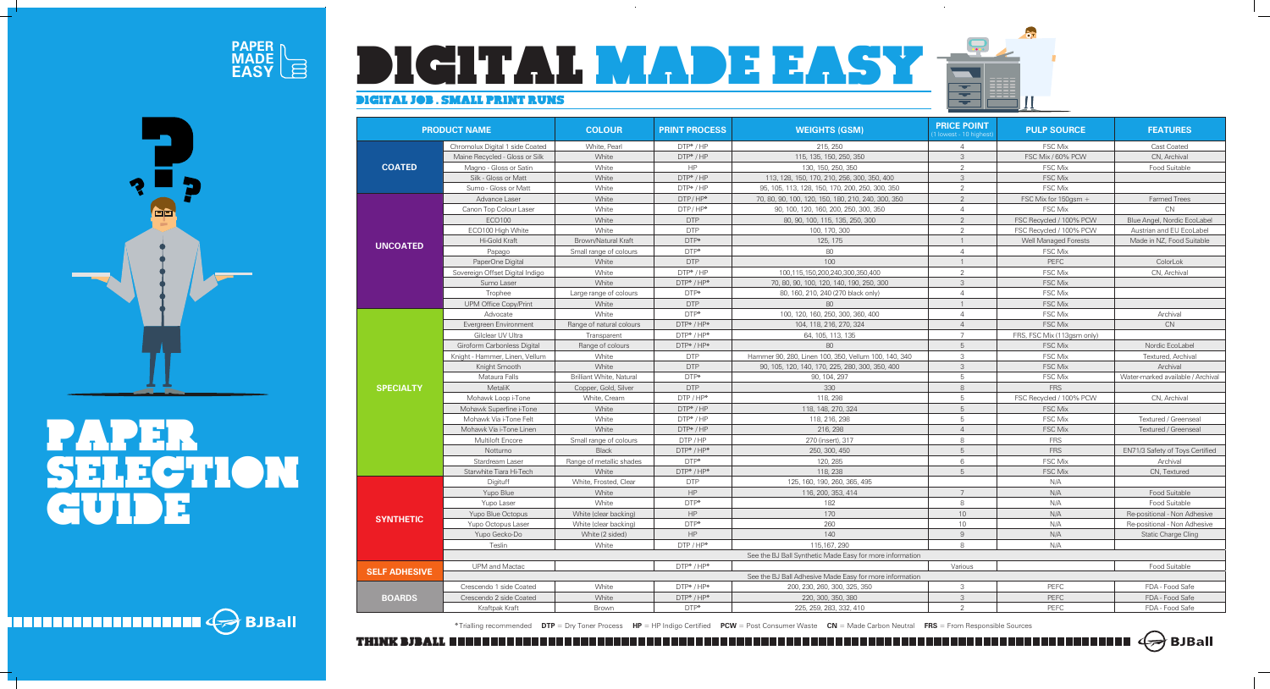## DIGITAL JOB . SMALL PRINT RUNS



| <b>PRODUCT NAME</b>  |                                 | <b>COLOUR</b>            | <b>PRINT PROCESS</b>                                  | <b>WEIGHTS (GSM)</b>                                     | <b>PRICE POINT</b><br>(1 lowest - 10 highes |
|----------------------|---------------------------------|--------------------------|-------------------------------------------------------|----------------------------------------------------------|---------------------------------------------|
|                      | Chromolux Digital 1 side Coated | White, Pearl             | DTP*/HP                                               | 215, 250                                                 | $\overline{4}$                              |
| <b>COATED</b>        | Maine Recycled - Gloss or Silk  | White                    | DTP*/HP                                               | 115, 135, 150, 250, 350                                  | 3                                           |
|                      | Magno - Gloss or Satin          | White                    | HP                                                    | 130, 150, 250, 350                                       | $\overline{2}$                              |
|                      | Silk - Gloss or Matt            | White                    | $DTP* / HP$                                           | 113, 128, 150, 170, 210, 256, 300, 350, 400              | 3                                           |
|                      | Sumo - Gloss or Matt            | White                    | $DTP* / HP$                                           | 95, 105, 113, 128, 150, 170, 200, 250, 300, 350          | $\overline{2}$                              |
|                      | Advance Laser                   | White<br>DTP/HP*         |                                                       | 70, 80, 90, 100, 120, 150, 180, 210, 240, 300, 350       | $\overline{2}$                              |
|                      | Canon Top Colour Laser          | White                    | $DTP / HP^*$<br>90, 100, 120, 160, 200, 250, 300, 350 |                                                          | $\overline{4}$                              |
|                      | ECO100                          | White                    | <b>DTP</b>                                            | 80, 90, 100, 115, 135, 250, 300                          | $\overline{2}$                              |
|                      | ECO100 High White               | White                    | <b>DTP</b>                                            | 100, 170, 300                                            | $\overline{2}$                              |
|                      | Hi-Gold Kraft                   | Brown/Natural Kraft      | DTP*                                                  | 125, 175                                                 |                                             |
| <b>UNCOATED</b>      | Papago                          | Small range of colours   | DTP*                                                  | 80                                                       | $\overline{4}$                              |
|                      | PaperOne Digital                | White                    | <b>DTP</b>                                            | 100                                                      |                                             |
|                      | Sovereign Offset Digital Indigo | White                    | $DTP* / HP$                                           | 100,115,150,200,240,300,350,400                          | $\overline{2}$                              |
|                      | Sumo Laser                      | White                    | DTP* / HP*                                            | 70, 80, 90, 100, 120, 140, 190, 250, 300                 | $\mathsf 3$                                 |
|                      | Trophee                         | Large range of colours   | $DTP*$                                                | 80, 160, 210, 240 (270 black only)                       | $\overline{4}$                              |
|                      | <b>UPM Office Copy/Print</b>    | White                    | <b>DTP</b>                                            | 80                                                       |                                             |
|                      | Advocate                        | White                    | DTP*                                                  | 100, 120, 160, 250, 300, 360, 400                        | 4                                           |
|                      | Evergreen Environment           | Range of natural colours | DTP* / HP*                                            | 104, 118, 216, 270, 324                                  | $\overline{4}$                              |
|                      | Gilclear UV Ultra               | Transparent              | DTP*/HP*                                              | 64, 105, 113, 135                                        | $\overline{7}$                              |
|                      | Giroform Carbonless Digital     | Range of colours         | DTP* / HP*                                            | 80                                                       | 5                                           |
|                      | Knight - Hammer, Linen, Vellum  | White                    | <b>DTP</b>                                            | Hammer 90, 280, Linen 100, 350, Vellum 100, 140, 340     | 3                                           |
|                      | Knight Smooth                   | White                    | <b>DTP</b>                                            | 90, 105, 120, 140, 170, 225, 280, 300, 350, 400          | $\mathsf 3$                                 |
|                      | Mataura Falls                   | Brilliant White, Natural | DTP*                                                  | 90, 104, 297                                             | 5                                           |
| <b>SPECIALTY</b>     | MetaliK                         | Copper, Gold, Silver     | <b>DTP</b>                                            | 330                                                      | 8                                           |
|                      | Mohawk Loop i-Tone              | White, Cream             | $DTP / HP*$                                           | 118, 298                                                 | 5                                           |
|                      | Mohawk Superfine i-Tone         | White                    | DTP*/HP                                               | 118, 148, 270, 324                                       | $\sqrt{5}$                                  |
|                      | Mohawk Via i-Tone Felt          | White                    | $DTP* / HP$                                           | 118, 216, 298                                            | 5                                           |
|                      | Mohawk Via i-Tone Linen         | White                    | DTP*/HP                                               | 216, 298                                                 | $\overline{4}$                              |
|                      | Multiloft Encore                | Small range of colours   | DTP / HP                                              | 270 (insert), 317                                        | 8                                           |
|                      | Notturno                        | <b>Black</b>             | DTP* / HP*                                            | 250, 300, 450                                            | 5                                           |
|                      | Stardream Laser                 | Range of metallic shades | DTP*                                                  | 120, 285                                                 | 6                                           |
|                      | Starwhite Tiara Hi-Tech         | White                    | DTP <sup>*</sup> / HP <sup>*</sup>                    | 118, 238                                                 | 5                                           |
|                      | Digituff                        | White, Frosted, Clear    | <b>DTP</b>                                            | 125, 160, 190, 260, 365, 495                             |                                             |
|                      | Yupo Blue                       | White                    | HP                                                    | 116, 200, 353, 414                                       | $\overline{7}$                              |
|                      | Yupo Laser                      | White                    | DTP*                                                  | 182                                                      | 8                                           |
| <b>SYNTHETIC</b>     | Yupo Blue Octopus               | White (clear backing)    | HP                                                    | 170                                                      | 10                                          |
|                      | Yupo Octopus Laser              | White (clear backing)    | DTP*                                                  | 260                                                      | $10$                                        |
|                      | Yupo Gecko-Do                   | White (2 sided)          | HP                                                    | 140                                                      | 9                                           |
|                      | Teslin                          | White                    | $DTP / HP*$                                           | 115, 167, 290                                            | 8                                           |
|                      |                                 |                          |                                                       | See the BJ Ball Synthetic Made Easy for more information |                                             |
|                      | <b>UPM</b> and Mactac           |                          | DTP*/HP*                                              |                                                          | Various                                     |
| <b>SELF ADHESIVE</b> |                                 |                          |                                                       | See the BJ Ball Adhesive Made Easy for more information  |                                             |
|                      | Crescendo 1 side Coated         | White                    | DTP*/HP*                                              | 200, 230, 260, 300, 325, 350                             | 3                                           |
| <b>BOARDS</b>        | Crescendo 2 side Coated         | White                    | DTP*/HP*                                              | 220, 300, 350, 380                                       | 3                                           |
|                      | Kraftpak Kraft                  | Brown                    | $DTP*$                                                | 225, 259, 283, 332, 410                                  | 2                                           |

| <b>PRODUCT NAME</b>  |                                 | <b>COLOUR</b>                   | <b>PRINT PROCESS</b>               | <b>WEIGHTS (GSM)</b>                                     | <b>PRICE POINT</b><br>1 lowest - 10 highest) | <b>PULP SOURCE</b>          | <b>FEATURES</b>                   |
|----------------------|---------------------------------|---------------------------------|------------------------------------|----------------------------------------------------------|----------------------------------------------|-----------------------------|-----------------------------------|
|                      | Chromolux Digital 1 side Coated | White, Pearl                    | DTP*/HP                            | 215, 250                                                 | $\overline{4}$                               | <b>FSC Mix</b>              | Cast Coated                       |
| <b>COATED</b>        | Maine Recycled - Gloss or Silk  | White                           | DTP*/HP                            | 115, 135, 150, 250, 350                                  | 3                                            | FSC Mix / 60% PCW           | CN, Archival                      |
|                      | Magno - Gloss or Satin          | White                           | HP                                 | 130, 150, 250, 350                                       | 2                                            | <b>FSC Mix</b>              | Food Suitable                     |
|                      | Silk - Gloss or Matt            | White                           | DTP*/HP                            | 113, 128, 150, 170, 210, 256, 300, 350, 400              | 3                                            | <b>FSC Mix</b>              |                                   |
|                      | Sumo - Gloss or Matt            | White                           | DTP*/HP                            | 95, 105, 113, 128, 150, 170, 200, 250, 300, 350          | 2                                            | <b>FSC Mix</b>              |                                   |
|                      | Advance Laser                   | White                           | DTP/HP*                            | 70, 80, 90, 100, 120, 150, 180, 210, 240, 300, 350       | 2                                            | FSC Mix for 150gsm +        | <b>Farmed Trees</b>               |
|                      | Canon Top Colour Laser          | White                           | DTP/HP*                            | 90, 100, 120, 160, 200, 250, 300, 350                    | $\overline{4}$                               | <b>FSC Mix</b>              | CN                                |
|                      | ECO100                          | White                           | <b>DTP</b>                         | 80, 90, 100, 115, 135, 250, 300                          | 2                                            | FSC Recycled / 100% PCW     | Blue Angel, Nordic EcoLabel       |
|                      | ECO100 High White               | White                           | <b>DTP</b>                         | 100, 170, 300                                            | 2                                            | FSC Recycled / 100% PCW     | Austrian and EU EcoLabel          |
| <b>UNCOATED</b>      | Hi-Gold Kraft                   | Brown/Natural Kraft             | DTP*                               | 125, 175                                                 |                                              | <b>Well Managed Forests</b> | Made in NZ, Food Suitable         |
|                      | Papago                          | Small range of colours          | DTP*                               | 80                                                       |                                              | <b>FSC Mix</b>              |                                   |
|                      | PaperOne Digital                | White                           | <b>DTP</b>                         | 100                                                      |                                              | <b>PEFC</b>                 | ColorLok                          |
|                      | Sovereign Offset Digital Indigo | White                           | DTP*/HP                            | 100,115,150,200,240,300,350,400                          | 2                                            | <b>FSC Mix</b>              | CN, Archival                      |
|                      | Sumo Laser                      | White                           | DTP*/HP*                           | 70, 80, 90, 100, 120, 140, 190, 250, 300                 | 3                                            | <b>FSC Mix</b>              |                                   |
|                      | Trophee                         | Large range of colours          | DTP*                               | 80, 160, 210, 240 (270 black only)                       |                                              | <b>FSC Mix</b>              |                                   |
|                      | <b>UPM Office Copy/Print</b>    | White                           | <b>DTP</b>                         | 80                                                       |                                              | <b>FSC Mix</b>              |                                   |
|                      | Advocate                        | White                           | DTP*                               | 100, 120, 160, 250, 300, 360, 400                        | $\overline{4}$                               | <b>FSC Mix</b>              | Archival                          |
|                      | Evergreen Environment           | Range of natural colours        | DTP*/HP*                           | 104, 118, 216, 270, 324                                  |                                              | <b>FSC Mix</b>              | <b>CN</b>                         |
|                      | Gilclear UV Ultra               | Transparent                     | DTP <sup>◆</sup> / HP <sup>◆</sup> | 64, 105, 113, 135                                        |                                              | FRS, FSC Mix (113gsm only)  |                                   |
|                      | Giroform Carbonless Digital     | Range of colours                | DTP*/HP*                           | 80                                                       | $5\overline{5}$                              | <b>FSC Mix</b>              | Nordic EcoLabel                   |
|                      | Knight - Hammer, Linen, Vellum  | White                           | <b>DTP</b>                         | Hammer 90, 280, Linen 100, 350, Vellum 100, 140, 340     | 3                                            | <b>FSC Mix</b>              | Textured, Archival                |
|                      | Knight Smooth                   | White                           | <b>DTP</b>                         | 90, 105, 120, 140, 170, 225, 280, 300, 350, 400          | 3                                            | <b>FSC Mix</b>              | Archival                          |
|                      | Mataura Falls                   | <b>Brilliant White, Natural</b> | DTP*                               | 90, 104, 297                                             | 5                                            | <b>FSC Mix</b>              | Water-marked available / Archival |
| <b>SPECIALTY</b>     | MetaliK                         | Copper, Gold, Silver            | <b>DTP</b>                         | 330                                                      | 8                                            | <b>FRS</b>                  |                                   |
|                      | Mohawk Loop i-Tone              | White, Cream                    | DTP / HP*                          | 118, 298                                                 | 5                                            | FSC Recycled / 100% PCW     | CN, Archival                      |
|                      | Mohawk Superfine i-Tone         | White                           | DTP*/HP                            | 118, 148, 270, 324                                       | $\overline{5}$                               | <b>FSC Mix</b>              |                                   |
|                      | Mohawk Via i-Tone Felt          | White                           | DTP*/HP                            | 118, 216, 298                                            | 5                                            | <b>FSC Mix</b>              | Textured / Greenseal              |
|                      | Mohawk Via i-Tone Linen         | White                           | DTP*/HP                            | 216, 298                                                 | $\Delta$                                     | <b>FSC Mix</b>              | Textured / Greenseal              |
|                      | Multiloft Encore                | Small range of colours          | DTP / HP                           | 270 (insert), 317                                        | 8                                            | <b>FRS</b>                  |                                   |
|                      | Notturno                        | <b>Black</b>                    | DTP*/HP*                           | 250, 300, 450                                            | 5                                            | <b>FRS</b>                  | EN71/3 Safety of Toys Certified   |
|                      | Stardream Laser                 | Range of metallic shades        | DTP*                               | 120, 285                                                 | 6                                            | <b>FSC Mix</b>              | Archival                          |
|                      | Starwhite Tiara Hi-Tech         | White                           | DTP*/HP*                           | 118, 238                                                 | 5                                            | <b>FSC Mix</b>              | CN, Textured                      |
|                      | Digituff                        | White, Frosted, Clear           | <b>DTP</b>                         | 125, 160, 190, 260, 365, 495                             |                                              | N/A                         |                                   |
|                      | Yupo Blue                       | White                           | HP                                 | 116, 200, 353, 414                                       | $\overline{7}$                               | N/A                         | Food Suitable                     |
| <b>SYNTHETIC</b>     | Yupo Laser                      | White                           | DTP*                               | 182                                                      | 8                                            | N/A                         | <b>Food Suitable</b>              |
|                      | Yupo Blue Octopus               | White (clear backing)           | HP                                 | 170                                                      | 10                                           | N/A                         | Re-positional - Non Adhesive      |
|                      | Yupo Octopus Laser              | White (clear backing)           | DTP*                               | 260                                                      | 10                                           | N/A                         | Re-positional - Non Adhesive      |
|                      | Yupo Gecko-Do                   | White (2 sided)                 | HP                                 | 140                                                      | $9$                                          | N/A                         | <b>Static Charge Cling</b>        |
|                      | Teslin                          | White                           | DTP / HP*                          | 115,167, 290                                             | 8                                            | N/A                         |                                   |
|                      |                                 |                                 |                                    | See the BJ Ball Synthetic Made Easy for more information |                                              |                             |                                   |
| <b>SELF ADHESIVE</b> | <b>UPM</b> and Mactac           |                                 | DTP* / HP*                         |                                                          | Various                                      |                             | Food Suitable                     |
|                      |                                 |                                 |                                    | See the BJ Ball Adhesive Made Easy for more information  |                                              |                             |                                   |
|                      | Crescendo 1 side Coated         | White                           | DTP <sup>◆</sup> / HP <sup>◆</sup> | 200, 230, 260, 300, 325, 350                             | 3                                            | PEFC                        | FDA - Food Safe                   |
| <b>BOARDS</b>        | Crescendo 2 side Coated         | White                           | DTP <sup>◆</sup> / HP <sup>◆</sup> | 220, 300, 350, 380                                       | 3                                            | PEFC                        | FDA - Food Safe                   |
|                      | Kraftpak Kraft                  | Brown                           | DTP*                               | 225, 259, 283, 332, 410                                  | $\overline{2}$                               | PEFC                        | FDA - Food Safe                   |

 $\bigcap$ 

THINK BJBALL





# PAPER SELECTION GUIDE

**HELLELLELLELLELLER (>>** BJBall